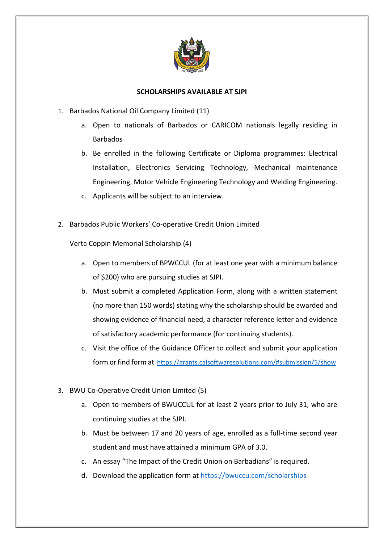

## **SCHOLARSHIPS AVAILABLE AT SJPI**

- 1. Barbados National Oil Company Limited (11)
	- a. Open to nationals of Barbados or CARICOM nationals legally residing in Barbados
	- b. Be enrolled in the following Certificate or Diploma programmes: Electrical Installation, Electronics Servicing Technology, Mechanical maintenance Engineering, Motor Vehicle Engineering Technology and Welding Engineering.
	- c. Applicants will be subject to an interview.
- 2. Barbados Public Workers' Co-operative Credit Union Limited

Verta Coppin Memorial Scholarship (4)

- a. Open to members of BPWCCUL (for at least one year with a minimum balance of \$200) who are pursuing studies at SJPI.
- b. Must submit a completed Application Form, along with a written statement (no more than 150 words) stating why the scholarship should be awarded and showing evidence of financial need, a character reference letter and evidence of satisfactory academic performance (for continuing students).
- c. Visit the office of the Guidance Officer to collect and submit your application form or find form at <https://grants.calsoftwaresolutions.com/#submission/5/show>
- 3. BWU Co-Operative Credit Union Limited (5)
	- a. Open to members of BWUCCUL for at least 2 years prior to July 31, who are continuing studies at the SJPI.
	- b. Must be between 17 and 20 years of age, enrolled as a full-time second year student and must have attained a minimum GPA of 3.0.
	- c. An essay "The Impact of the Credit Union on Barbadians" is required.
	- d. Download the application form at<https://bwuccu.com/scholarships>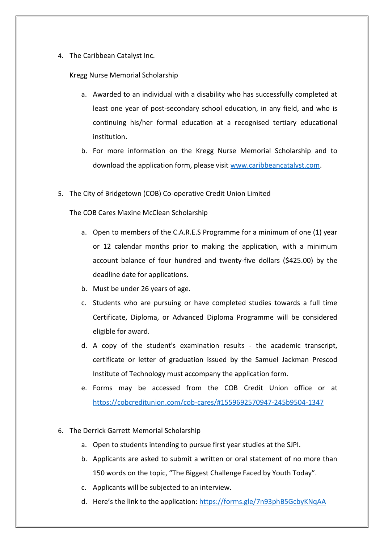4. The Caribbean Catalyst Inc.

## Kregg Nurse Memorial Scholarship

- a. Awarded to an individual with a disability who has successfully completed at least one year of post-secondary school education, in any field, and who is continuing his/her formal education at a recognised tertiary educational institution.
- b. For more information on the Kregg Nurse Memorial Scholarship and to download the application form, please visit [www.caribbeancatalyst.com.](http://www.caribbeancatalyst.com/)
- 5. The City of Bridgetown (COB) Co-operative Credit Union Limited

The COB Cares Maxine McClean Scholarship

- a. Open to members of the C.A.R.E.S Programme for a minimum of one (1) year or 12 calendar months prior to making the application, with a minimum account balance of four hundred and twenty-five dollars (\$425.00) by the deadline date for applications.
- b. Must be under 26 years of age.
- c. Students who are pursuing or have completed studies towards a full time Certificate, Diploma, or Advanced Diploma Programme will be considered eligible for award.
- d. A copy of the student's examination results the academic transcript, certificate or letter of graduation issued by the Samuel Jackman Prescod Institute of Technology must accompany the application form.
- e. Forms may be accessed from the COB Credit Union office or at <https://cobcreditunion.com/cob-cares/#1559692570947-245b9504-1347>
- 6. The Derrick Garrett Memorial Scholarship
	- a. Open to students intending to pursue first year studies at the SJPI.
	- b. Applicants are asked to submit a written or oral statement of no more than 150 words on the topic, "The Biggest Challenge Faced by Youth Today".
	- c. Applicants will be subjected to an interview.
	- d. Here's the link to the application: <https://forms.gle/7n93phB5GcbyKNqAA>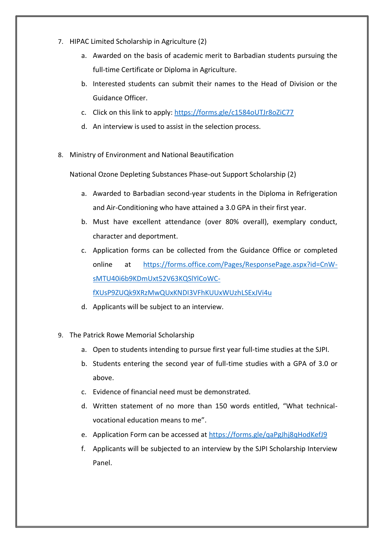- 7. HIPAC Limited Scholarship in Agriculture (2)
	- a. Awarded on the basis of academic merit to Barbadian students pursuing the full-time Certificate or Diploma in Agriculture.
	- b. Interested students can submit their names to the Head of Division or the Guidance Officer.
	- c. Click on this link to apply:<https://forms.gle/c1584oUTJr8oZiC77>
	- d. An interview is used to assist in the selection process.
- 8. Ministry of Environment and National Beautification

National Ozone Depleting Substances Phase-out Support Scholarship (2)

- a. Awarded to Barbadian second-year students in the Diploma in Refrigeration and Air-Conditioning who have attained a 3.0 GPA in their first year.
- b. Must have excellent attendance (over 80% overall), exemplary conduct, character and deportment.
- c. Application forms can be collected from the Guidance Office or completed online at [https://forms.office.com/Pages/ResponsePage.aspx?id=CnW](https://forms.office.com/Pages/ResponsePage.aspx?id=CnW-sMTU40i6b9KDmUxt52V63KQSlYlCoWC-fXUsP9ZUQk9XRzMwQUxKNDI3VFhKUUxWUzhLSExJVi4u)[sMTU40i6b9KDmUxt52V63KQSlYlCoWC-](https://forms.office.com/Pages/ResponsePage.aspx?id=CnW-sMTU40i6b9KDmUxt52V63KQSlYlCoWC-fXUsP9ZUQk9XRzMwQUxKNDI3VFhKUUxWUzhLSExJVi4u)

[fXUsP9ZUQk9XRzMwQUxKNDI3VFhKUUxWUzhLSExJVi4u](https://forms.office.com/Pages/ResponsePage.aspx?id=CnW-sMTU40i6b9KDmUxt52V63KQSlYlCoWC-fXUsP9ZUQk9XRzMwQUxKNDI3VFhKUUxWUzhLSExJVi4u)

- d. Applicants will be subject to an interview.
- 9. The Patrick Rowe Memorial Scholarship
	- a. Open to students intending to pursue first year full-time studies at the SJPI.
	- b. Students entering the second year of full-time studies with a GPA of 3.0 or above.
	- c. Evidence of financial need must be demonstrated.
	- d. Written statement of no more than 150 words entitled, "What technicalvocational education means to me".
	- e. Application Form can be accessed at <https://forms.gle/qaPgJhj8qHodKefJ9>
	- f. Applicants will be subjected to an interview by the SJPI Scholarship Interview Panel.